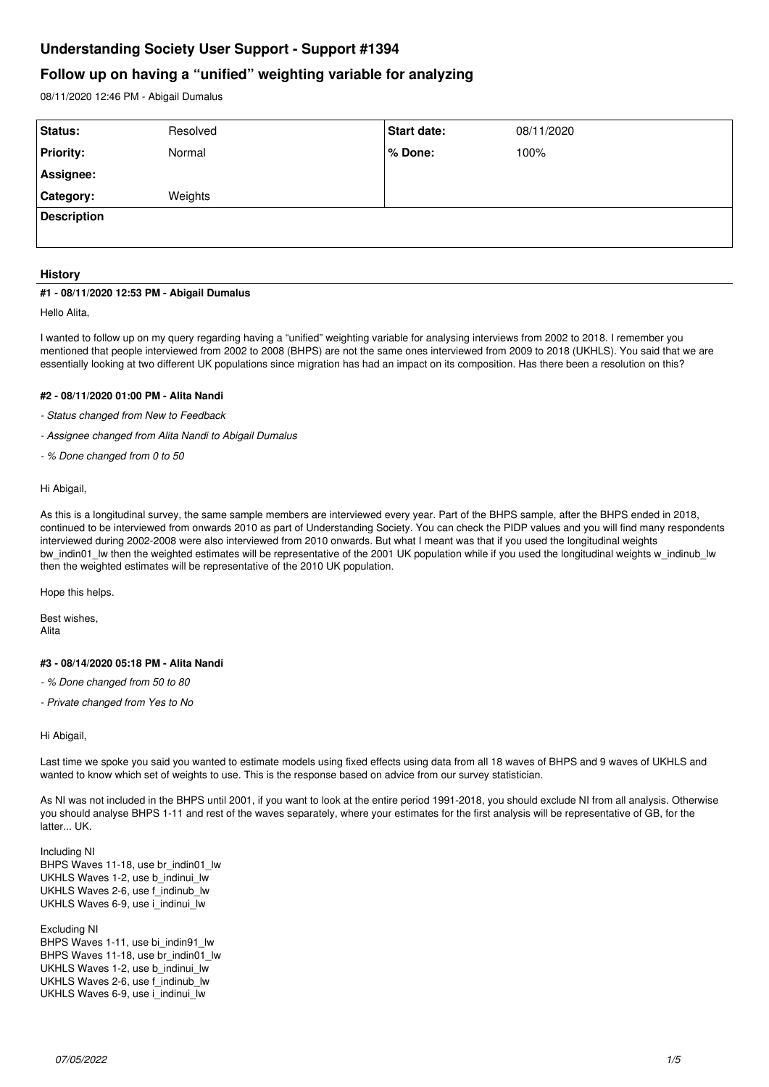# **Understanding Society User Support - Support #1394**

## **Follow up on having a "unified" weighting variable for analyzing**

08/11/2020 12:46 PM - Abigail Dumalus

| Status:            | Resolved | <b>Start date:</b> | 08/11/2020 |
|--------------------|----------|--------------------|------------|
| <b>Priority:</b>   | Normal   | l % Done:          | 100%       |
| Assignee:          |          |                    |            |
| <b>Category:</b>   | Weights  |                    |            |
| <b>Description</b> |          |                    |            |
|                    |          |                    |            |

## **History**

#### **#1 - 08/11/2020 12:53 PM - Abigail Dumalus**

Hello Alita,

I wanted to follow up on my query regarding having a "unified" weighting variable for analysing interviews from 2002 to 2018. I remember you mentioned that people interviewed from 2002 to 2008 (BHPS) are not the same ones interviewed from 2009 to 2018 (UKHLS). You said that we are essentially looking at two different UK populations since migration has had an impact on its composition. Has there been a resolution on this?

## **#2 - 08/11/2020 01:00 PM - Alita Nandi**

- *Status changed from New to Feedback*
- *Assignee changed from Alita Nandi to Abigail Dumalus*
- *% Done changed from 0 to 50*

#### Hi Abigail,

As this is a longitudinal survey, the same sample members are interviewed every year. Part of the BHPS sample, after the BHPS ended in 2018, continued to be interviewed from onwards 2010 as part of Understanding Society. You can check the PIDP values and you will find many respondents interviewed during 2002-2008 were also interviewed from 2010 onwards. But what I meant was that if you used the longitudinal weights bw\_indin01\_lw then the weighted estimates will be representative of the 2001 UK population while if you used the longitudinal weights w\_indinub\_lw then the weighted estimates will be representative of the 2010 UK population.

Hope this helps.

Best wishes, Alita

#### **#3 - 08/14/2020 05:18 PM - Alita Nandi**

*- % Done changed from 50 to 80*

*- Private changed from Yes to No*

Hi Abigail,

Last time we spoke you said you wanted to estimate models using fixed effects using data from all 18 waves of BHPS and 9 waves of UKHLS and wanted to know which set of weights to use. This is the response based on advice from our survey statistician.

As NI was not included in the BHPS until 2001, if you want to look at the entire period 1991-2018, you should exclude NI from all analysis. Otherwise you should analyse BHPS 1-11 and rest of the waves separately, where your estimates for the first analysis will be representative of GB, for the latter... UK.

Including NI BHPS Waves 11-18, use br\_indin01\_lw UKHLS Waves 1-2, use b\_indinui\_lw UKHLS Waves 2-6, use f\_indinub\_lw UKHLS Waves 6-9, use i\_indinui\_w

Excluding NI BHPS Waves 1-11, use bi\_indin91\_lw BHPS Waves 11-18, use br\_indin01\_lw UKHLS Waves 1-2, use b\_indinui\_lw UKHLS Waves 2-6, use f\_indinub\_lw UKHLS Waves 6-9, use i\_indinui\_lw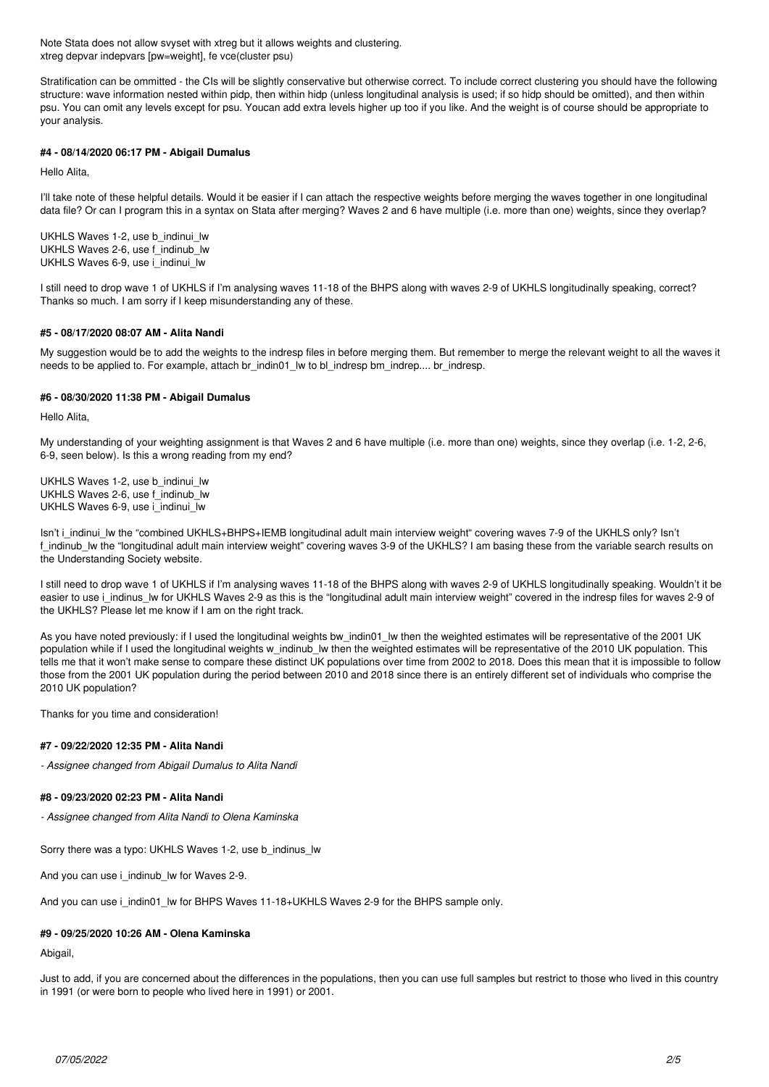Note Stata does not allow svyset with xtreg but it allows weights and clustering. xtreg depvar indepvars [pw=weight], fe vce(cluster psu)

Stratification can be ommitted - the CIs will be slightly conservative but otherwise correct. To include correct clustering you should have the following structure: wave information nested within pidp, then within hidp (unless longitudinal analysis is used; if so hidp should be omitted), and then within psu. You can omit any levels except for psu. Youcan add extra levels higher up too if you like. And the weight is of course should be appropriate to your analysis.

## **#4 - 08/14/2020 06:17 PM - Abigail Dumalus**

Hello Alita,

I'll take note of these helpful details. Would it be easier if I can attach the respective weights before merging the waves together in one longitudinal data file? Or can I program this in a syntax on Stata after merging? Waves 2 and 6 have multiple (i.e. more than one) weights, since they overlap?

UKHLS Waves 1-2, use b\_indinui\_lw UKHLS Waves 2-6, use f\_indinub\_lw UKHLS Waves 6-9, use i\_indinui\_lw

I still need to drop wave 1 of UKHLS if I'm analysing waves 11-18 of the BHPS along with waves 2-9 of UKHLS longitudinally speaking, correct? Thanks so much. I am sorry if I keep misunderstanding any of these.

## **#5 - 08/17/2020 08:07 AM - Alita Nandi**

My suggestion would be to add the weights to the indresp files in before merging them. But remember to merge the relevant weight to all the waves it needs to be applied to. For example, attach br\_indin01\_lw to bl\_indresp bm\_indrep.... br\_indresp.

## **#6 - 08/30/2020 11:38 PM - Abigail Dumalus**

Hello Alita,

My understanding of your weighting assignment is that Waves 2 and 6 have multiple (i.e. more than one) weights, since they overlap (i.e. 1-2, 2-6, 6-9, seen below). Is this a wrong reading from my end?

UKHLS Waves 1-2, use b\_indinui\_lw UKHLS Waves 2-6, use f\_indinub\_lw UKHLS Waves 6-9, use i\_indinui\_lw

Isn't i indinui lw the "combined UKHLS+BHPS+IEMB longitudinal adult main interview weight" covering waves 7-9 of the UKHLS only? Isn't f indinub Iw the "longitudinal adult main interview weight" covering waves 3-9 of the UKHLS? I am basing these from the variable search results on the Understanding Society website.

I still need to drop wave 1 of UKHLS if I'm analysing waves 11-18 of the BHPS along with waves 2-9 of UKHLS longitudinally speaking. Wouldn't it be easier to use i\_indinus\_lw for UKHLS Waves 2-9 as this is the "longitudinal adult main interview weight" covered in the indresp files for waves 2-9 of the UKHLS? Please let me know if I am on the right track.

As you have noted previously: if I used the longitudinal weights bw\_indin01\_lw then the weighted estimates will be representative of the 2001 UK population while if I used the longitudinal weights w\_indinub\_lw then the weighted estimates will be representative of the 2010 UK population. This tells me that it won't make sense to compare these distinct UK populations over time from 2002 to 2018. Does this mean that it is impossible to follow those from the 2001 UK population during the period between 2010 and 2018 since there is an entirely different set of individuals who comprise the 2010 UK population?

Thanks for you time and consideration!

#### **#7 - 09/22/2020 12:35 PM - Alita Nandi**

*- Assignee changed from Abigail Dumalus to Alita Nandi*

#### **#8 - 09/23/2020 02:23 PM - Alita Nandi**

*- Assignee changed from Alita Nandi to Olena Kaminska*

Sorry there was a typo: UKHLS Waves 1-2, use b\_indinus\_lw

And you can use i indinub lw for Waves 2-9.

And you can use i\_indin01\_lw for BHPS Waves 11-18+UKHLS Waves 2-9 for the BHPS sample only.

## **#9 - 09/25/2020 10:26 AM - Olena Kaminska**

Abigail,

Just to add, if you are concerned about the differences in the populations, then you can use full samples but restrict to those who lived in this country in 1991 (or were born to people who lived here in 1991) or 2001.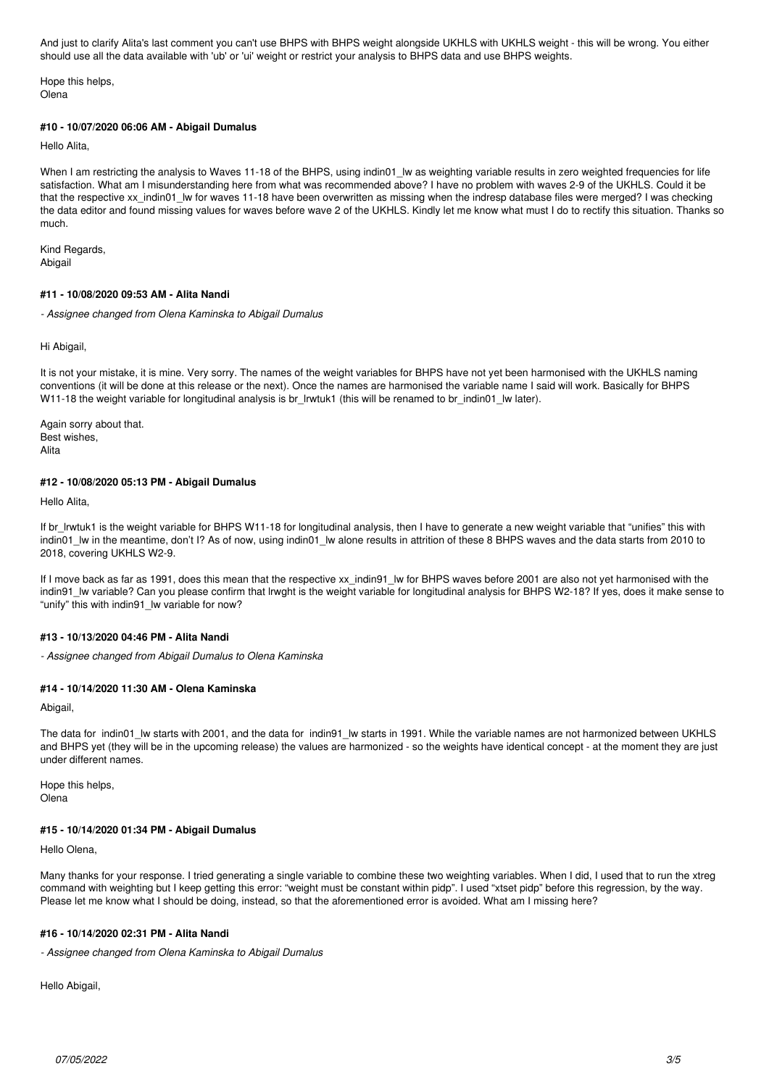And just to clarify Alita's last comment you can't use BHPS with BHPS weight alongside UKHLS with UKHLS weight - this will be wrong. You either should use all the data available with 'ub' or 'ui' weight or restrict your analysis to BHPS data and use BHPS weights.

Hope this helps, **Olena** 

## **#10 - 10/07/2020 06:06 AM - Abigail Dumalus**

Hello Alita,

When I am restricting the analysis to Waves 11-18 of the BHPS, using indin01 lw as weighting variable results in zero weighted frequencies for life satisfaction. What am I misunderstanding here from what was recommended above? I have no problem with waves 2-9 of the UKHLS. Could it be that the respective xx\_indin01\_lw for waves 11-18 have been overwritten as missing when the indresp database files were merged? I was checking the data editor and found missing values for waves before wave 2 of the UKHLS. Kindly let me know what must I do to rectify this situation. Thanks so much.

Kind Regards, Abigail

## **#11 - 10/08/2020 09:53 AM - Alita Nandi**

*- Assignee changed from Olena Kaminska to Abigail Dumalus*

Hi Abigail,

It is not your mistake, it is mine. Very sorry. The names of the weight variables for BHPS have not yet been harmonised with the UKHLS naming conventions (it will be done at this release or the next). Once the names are harmonised the variable name I said will work. Basically for BHPS W11-18 the weight variable for longitudinal analysis is br\_lrwtuk1 (this will be renamed to br\_indin01\_lw later).

Again sorry about that. Best wishes, Alita

#### **#12 - 10/08/2020 05:13 PM - Abigail Dumalus**

Hello Alita,

If br\_lrwtuk1 is the weight variable for BHPS W11-18 for longitudinal analysis, then I have to generate a new weight variable that "unifies" this with indin01\_lw in the meantime, don't I? As of now, using indin01\_lw alone results in attrition of these 8 BHPS waves and the data starts from 2010 to 2018, covering UKHLS W2-9.

If I move back as far as 1991, does this mean that the respective xx\_indin91\_lw for BHPS waves before 2001 are also not yet harmonised with the indin91 Iw variable? Can you please confirm that Irwght is the weight variable for longitudinal analysis for BHPS W2-18? If yes, does it make sense to "unify" this with indin91\_lw variable for now?

## **#13 - 10/13/2020 04:46 PM - Alita Nandi**

*- Assignee changed from Abigail Dumalus to Olena Kaminska*

## **#14 - 10/14/2020 11:30 AM - Olena Kaminska**

Abigail,

The data for indin01\_lw starts with 2001, and the data for indin91\_lw starts in 1991. While the variable names are not harmonized between UKHLS and BHPS yet (they will be in the upcoming release) the values are harmonized - so the weights have identical concept - at the moment they are just under different names.

Hope this helps, Olena

## **#15 - 10/14/2020 01:34 PM - Abigail Dumalus**

Hello Olena,

Many thanks for your response. I tried generating a single variable to combine these two weighting variables. When I did, I used that to run the xtreg command with weighting but I keep getting this error: "weight must be constant within pidp". I used "xtset pidp" before this regression, by the way. Please let me know what I should be doing, instead, so that the aforementioned error is avoided. What am I missing here?

#### **#16 - 10/14/2020 02:31 PM - Alita Nandi**

*- Assignee changed from Olena Kaminska to Abigail Dumalus*

Hello Abigail,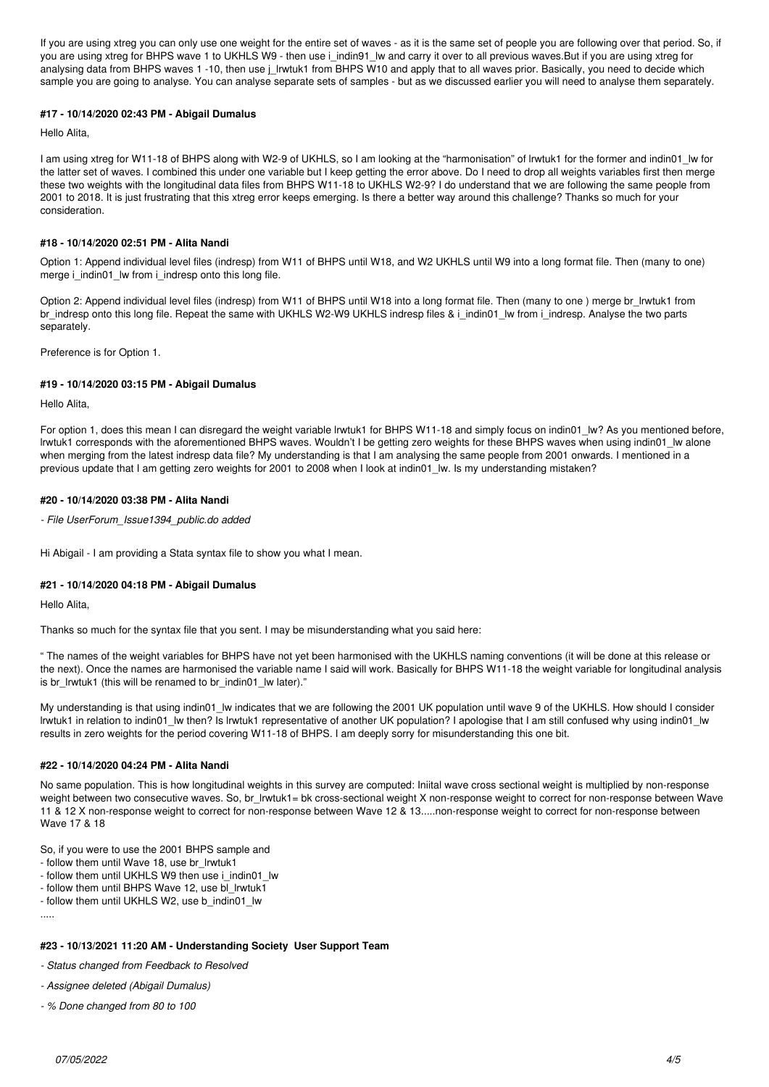If you are using xtreg you can only use one weight for the entire set of waves - as it is the same set of people you are following over that period. So, if you are using xtreg for BHPS wave 1 to UKHLS W9 - then use i\_indin91\_lw and carry it over to all previous waves.But if you are using xtreg for analysing data from BHPS waves 1 -10, then use j\_lrwtuk1 from BHPS W10 and apply that to all waves prior. Basically, you need to decide which sample you are going to analyse. You can analyse separate sets of samples - but as we discussed earlier you will need to analyse them separately.

## **#17 - 10/14/2020 02:43 PM - Abigail Dumalus**

Hello Alita,

I am using xtreg for W11-18 of BHPS along with W2-9 of UKHLS, so I am looking at the "harmonisation" of lrwtuk1 for the former and indin01\_lw for the latter set of waves. I combined this under one variable but I keep getting the error above. Do I need to drop all weights variables first then merge these two weights with the longitudinal data files from BHPS W11-18 to UKHLS W2-9? I do understand that we are following the same people from 2001 to 2018. It is just frustrating that this xtreg error keeps emerging. Is there a better way around this challenge? Thanks so much for your consideration.

## **#18 - 10/14/2020 02:51 PM - Alita Nandi**

Option 1: Append individual level files (indresp) from W11 of BHPS until W18, and W2 UKHLS until W9 into a long format file. Then (many to one) merge i\_indin01\_lw from i\_indresp onto this long file.

Option 2: Append individual level files (indresp) from W11 of BHPS until W18 into a long format file. Then (many to one) merge br\_lrwtuk1 from br\_indresp onto this long file. Repeat the same with UKHLS W2-W9 UKHLS indresp files & i\_indin01\_lw from i\_indresp. Analyse the two parts separately.

Preference is for Option 1.

#### **#19 - 10/14/2020 03:15 PM - Abigail Dumalus**

Hello Alita,

For option 1, does this mean I can disregard the weight variable lrwtuk1 for BHPS W11-18 and simply focus on indin01\_lw? As you mentioned before, lrwtuk1 corresponds with the aforementioned BHPS waves. Wouldn't I be getting zero weights for these BHPS waves when using indin01\_lw alone when merging from the latest indresp data file? My understanding is that I am analysing the same people from 2001 onwards. I mentioned in a previous update that I am getting zero weights for 2001 to 2008 when I look at indin01 lw. Is my understanding mistaken?

## **#20 - 10/14/2020 03:38 PM - Alita Nandi**

*- File UserForum\_Issue1394\_public.do added*

Hi Abigail - I am providing a Stata syntax file to show you what I mean.

#### **#21 - 10/14/2020 04:18 PM - Abigail Dumalus**

Hello Alita,

Thanks so much for the syntax file that you sent. I may be misunderstanding what you said here:

" The names of the weight variables for BHPS have not yet been harmonised with the UKHLS naming conventions (it will be done at this release or the next). Once the names are harmonised the variable name I said will work. Basically for BHPS W11-18 the weight variable for longitudinal analysis is br\_lrwtuk1 (this will be renamed to br\_indin01\_lw later)."

My understanding is that using indin01\_lw indicates that we are following the 2001 UK population until wave 9 of the UKHLS. How should I consider lrwtuk1 in relation to indin01\_lw then? Is lrwtuk1 representative of another UK population? I apologise that I am still confused why using indin01\_lw results in zero weights for the period covering W11-18 of BHPS. I am deeply sorry for misunderstanding this one bit.

## **#22 - 10/14/2020 04:24 PM - Alita Nandi**

No same population. This is how longitudinal weights in this survey are computed: Iniital wave cross sectional weight is multiplied by non-response weight between two consecutive waves. So, br\_lrwtuk1= bk cross-sectional weight X non-response weight to correct for non-response between Wave 11 & 12 X non-response weight to correct for non-response between Wave 12 & 13.....non-response weight to correct for non-response between Wave 17 & 18

So, if you were to use the 2001 BHPS sample and

- follow them until Wave 18, use br lrwtuk1
- follow them until UKHLS W9 then use i\_indin01\_lw
- follow them until BHPS Wave 12, use bl\_lrwtuk1
- follow them until UKHLS W2, use b\_indin01\_lw

.....

#### **#23 - 10/13/2021 11:20 AM - Understanding Society User Support Team**

*- Status changed from Feedback to Resolved*

- *Assignee deleted (Abigail Dumalus)*
- *% Done changed from 80 to 100*